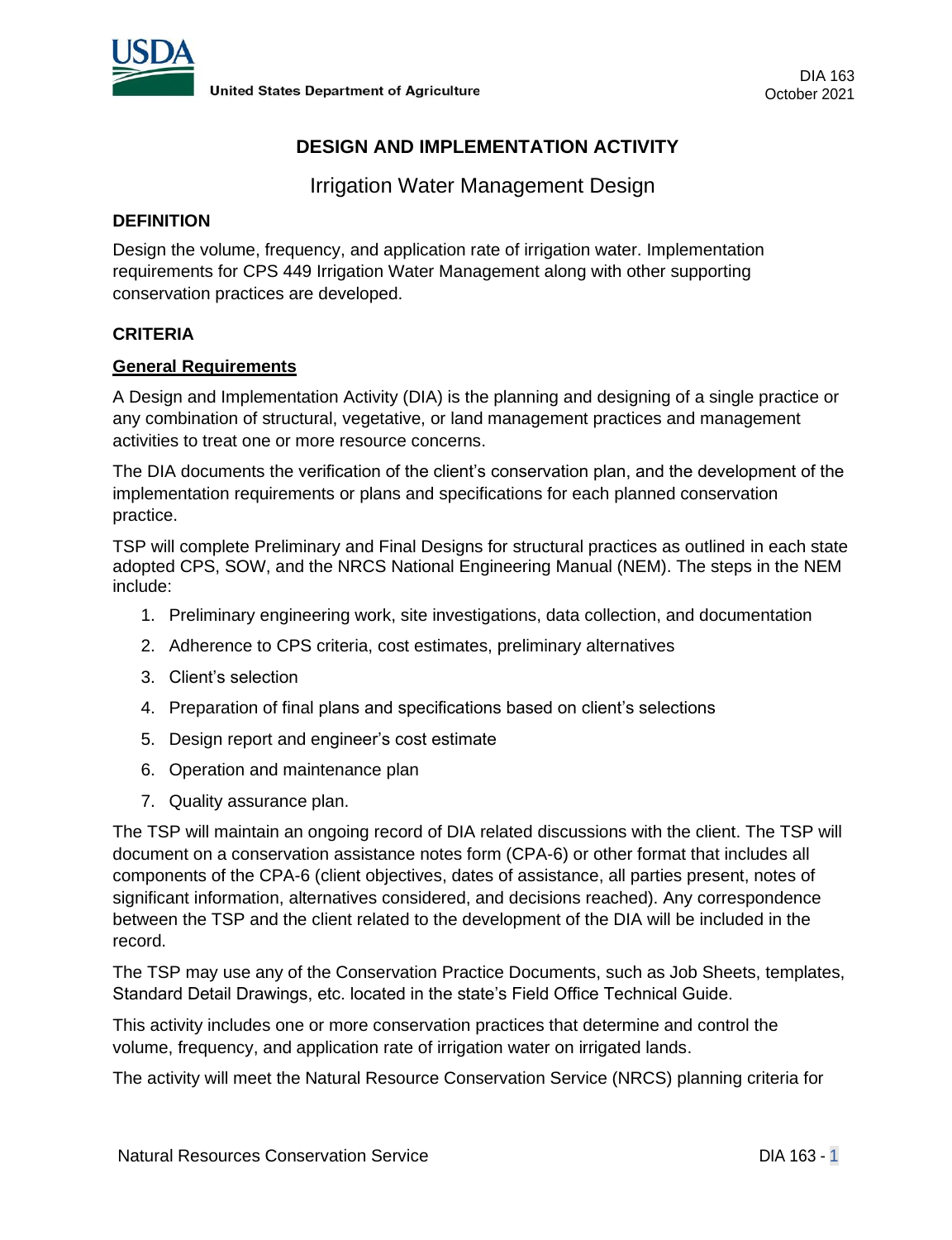

# **DESIGN AND IMPLEMENTATION ACTIVITY**

Irrigation Water Management Design

#### **DEFINITION**

Design the volume, frequency, and application rate of irrigation water. Implementation requirements for CPS 449 Irrigation Water Management along with other supporting conservation practices are developed.

#### **CRITERIA**

#### **General Requirements**

A Design and Implementation Activity (DIA) is the planning and designing of a single practice or any combination of structural, vegetative, or land management practices and management activities to treat one or more resource concerns.

The DIA documents the verification of the client's conservation plan, and the development of the implementation requirements or plans and specifications for each planned conservation practice.

TSP will complete Preliminary and Final Designs for structural practices as outlined in each state adopted CPS, SOW, and the NRCS National Engineering Manual (NEM). The steps in the NEM include:

- 1. Preliminary engineering work, site investigations, data collection, and documentation
- 2. Adherence to CPS criteria, cost estimates, preliminary alternatives
- 3. Client's selection
- 4. Preparation of final plans and specifications based on client's selections
- 5. Design report and engineer's cost estimate
- 6. Operation and maintenance plan
- 7. Quality assurance plan.

The TSP will maintain an ongoing record of DIA related discussions with the client. The TSP will document on a conservation assistance notes form (CPA-6) or other format that includes all components of the CPA-6 (client objectives, dates of assistance, all parties present, notes of significant information, alternatives considered, and decisions reached). Any correspondence between the TSP and the client related to the development of the DIA will be included in the record.

The TSP may use any of the Conservation Practice Documents, such as Job Sheets, templates, Standard Detail Drawings, etc. located in the state's Field Office Technical Guide.

This activity includes one or more conservation practices that determine and control the volume, frequency, and application rate of irrigation water on irrigated lands.

The activity will meet the Natural Resource Conservation Service (NRCS) planning criteria for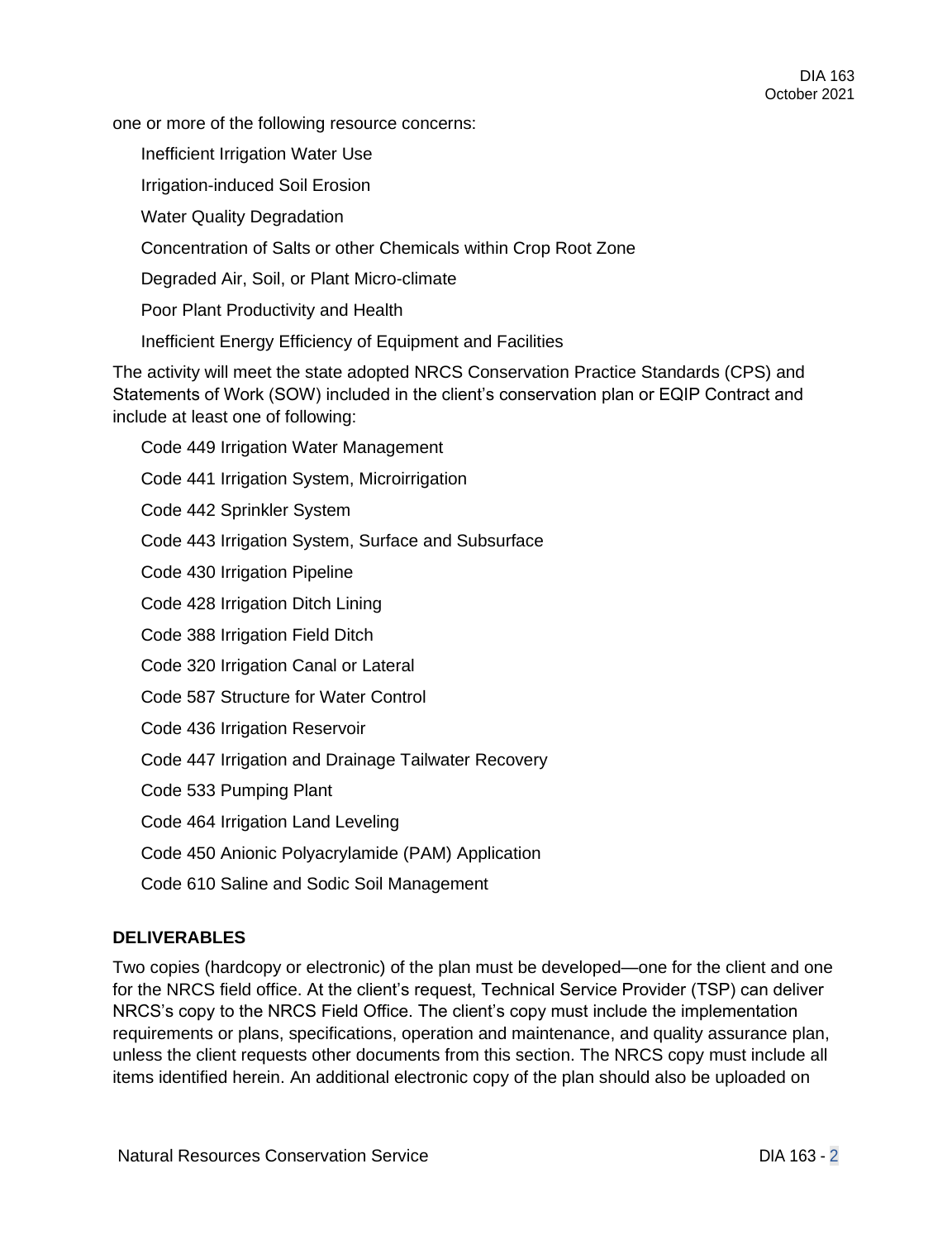one or more of the following resource concerns:

Inefficient Irrigation Water Use

Irrigation-induced Soil Erosion

Water Quality Degradation

Concentration of Salts or other Chemicals within Crop Root Zone

Degraded Air, Soil, or Plant Micro-climate

Poor Plant Productivity and Health

Inefficient Energy Efficiency of Equipment and Facilities

The activity will meet the state adopted NRCS Conservation Practice Standards (CPS) and Statements of Work (SOW) included in the client's conservation plan or EQIP Contract and include at least one of following:

Code 449 Irrigation Water Management

Code 441 Irrigation System, Microirrigation

Code 442 Sprinkler System

Code 443 Irrigation System, Surface and Subsurface

Code 430 Irrigation Pipeline

Code 428 Irrigation Ditch Lining

Code 388 Irrigation Field Ditch

Code 320 Irrigation Canal or Lateral

Code 587 Structure for Water Control

Code 436 Irrigation Reservoir

Code 447 Irrigation and Drainage Tailwater Recovery

Code 533 Pumping Plant

Code 464 Irrigation Land Leveling

Code 450 Anionic Polyacrylamide (PAM) Application

Code 610 Saline and Sodic Soil Management

#### **DELIVERABLES**

Two copies (hardcopy or electronic) of the plan must be developed—one for the client and one for the NRCS field office. At the client's request, Technical Service Provider (TSP) can deliver NRCS's copy to the NRCS Field Office. The client's copy must include the implementation requirements or plans, specifications, operation and maintenance, and quality assurance plan, unless the client requests other documents from this section. The NRCS copy must include all items identified herein. An additional electronic copy of the plan should also be uploaded on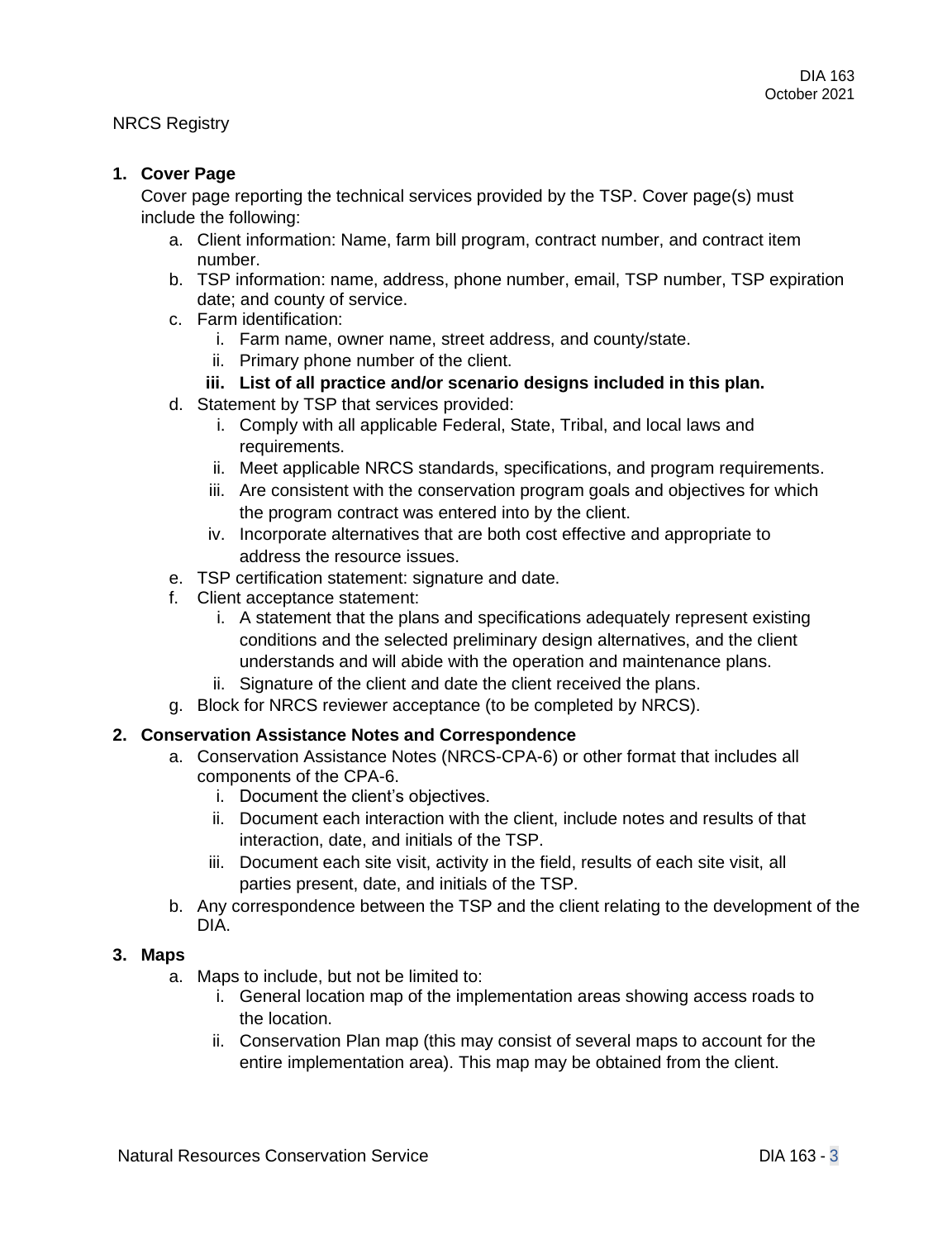#### NRCS Registry

# **1. Cover Page**

Cover page reporting the technical services provided by the TSP. Cover page(s) must include the following:

- a. Client information: Name, farm bill program, contract number, and contract item number.
- b. TSP information: name, address, phone number, email, TSP number, TSP expiration date; and county of service.
- c. Farm identification:
	- i. Farm name, owner name, street address, and county/state.
	- ii. Primary phone number of the client.
	- **iii. List of all practice and/or scenario designs included in this plan.**
- d. Statement by TSP that services provided:
	- i. Comply with all applicable Federal, State, Tribal, and local laws and requirements.
	- ii. Meet applicable NRCS standards, specifications, and program requirements.
	- iii. Are consistent with the conservation program goals and objectives for which the program contract was entered into by the client.
	- iv. Incorporate alternatives that are both cost effective and appropriate to address the resource issues.
- e. TSP certification statement: signature and date.
- f. Client acceptance statement:
	- i. A statement that the plans and specifications adequately represent existing conditions and the selected preliminary design alternatives, and the client understands and will abide with the operation and maintenance plans.
	- ii. Signature of the client and date the client received the plans.
- g. Block for NRCS reviewer acceptance (to be completed by NRCS).

#### **2. Conservation Assistance Notes and Correspondence**

- a. Conservation Assistance Notes (NRCS-CPA-6) or other format that includes all components of the CPA-6.
	- i. Document the client's objectives.
	- ii. Document each interaction with the client, include notes and results of that interaction, date, and initials of the TSP.
	- iii. Document each site visit, activity in the field, results of each site visit, all parties present, date, and initials of the TSP.
- b. Any correspondence between the TSP and the client relating to the development of the DIA.

#### **3. Maps**

- a. Maps to include, but not be limited to:
	- i. General location map of the implementation areas showing access roads to the location.
	- ii. Conservation Plan map (this may consist of several maps to account for the entire implementation area). This map may be obtained from the client.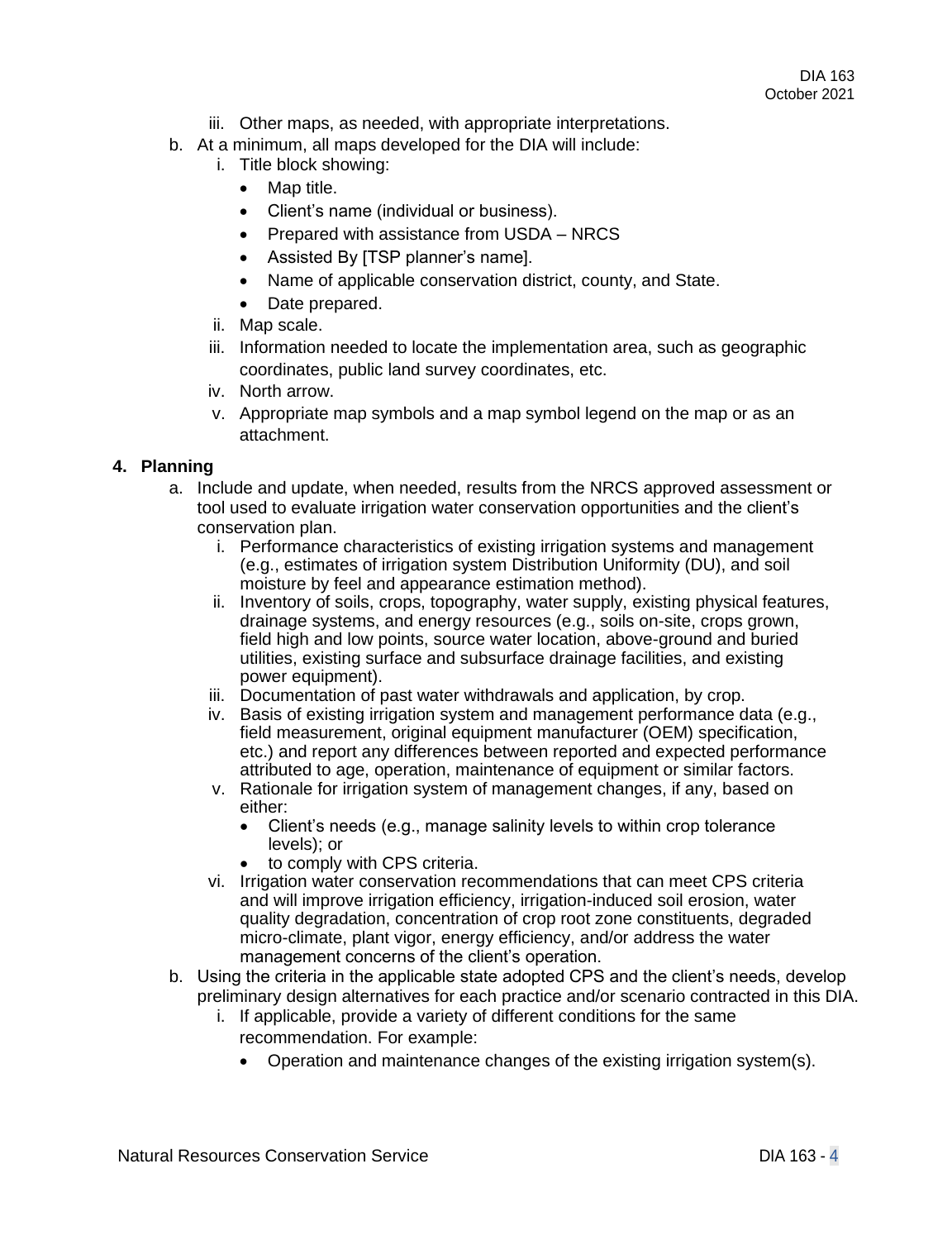- iii. Other maps, as needed, with appropriate interpretations.
- b. At a minimum, all maps developed for the DIA will include:
	- i. Title block showing:
		- Map title.
		- Client's name (individual or business).
		- Prepared with assistance from USDA NRCS
		- Assisted By [TSP planner's name].
		- Name of applicable conservation district, county, and State.
		- Date prepared.
	- ii. Map scale.
	- iii. Information needed to locate the implementation area, such as geographic coordinates, public land survey coordinates, etc.
	- iv. North arrow.
	- v. Appropriate map symbols and a map symbol legend on the map or as an attachment.

#### **4. Planning**

- a. Include and update, when needed, results from the NRCS approved assessment or tool used to evaluate irrigation water conservation opportunities and the client's conservation plan.
	- i. Performance characteristics of existing irrigation systems and management (e.g., estimates of irrigation system Distribution Uniformity (DU), and soil moisture by feel and appearance estimation method).
	- ii. Inventory of soils, crops, topography, water supply, existing physical features, drainage systems, and energy resources (e.g., soils on-site, crops grown, field high and low points, source water location, above-ground and buried utilities, existing surface and subsurface drainage facilities, and existing power equipment).
	- iii. Documentation of past water withdrawals and application, by crop.
	- iv. Basis of existing irrigation system and management performance data (e.g., field measurement, original equipment manufacturer (OEM) specification, etc.) and report any differences between reported and expected performance attributed to age, operation, maintenance of equipment or similar factors.
	- v. Rationale for irrigation system of management changes, if any, based on either:
		- Client's needs (e.g., manage salinity levels to within crop tolerance levels); or
		- to comply with CPS criteria.
	- vi. Irrigation water conservation recommendations that can meet CPS criteria and will improve irrigation efficiency, irrigation-induced soil erosion, water quality degradation, concentration of crop root zone constituents, degraded micro-climate, plant vigor, energy efficiency, and/or address the water management concerns of the client's operation.
- b. Using the criteria in the applicable state adopted CPS and the client's needs, develop preliminary design alternatives for each practice and/or scenario contracted in this DIA.
	- i. If applicable, provide a variety of different conditions for the same recommendation. For example:
		- Operation and maintenance changes of the existing irrigation system(s).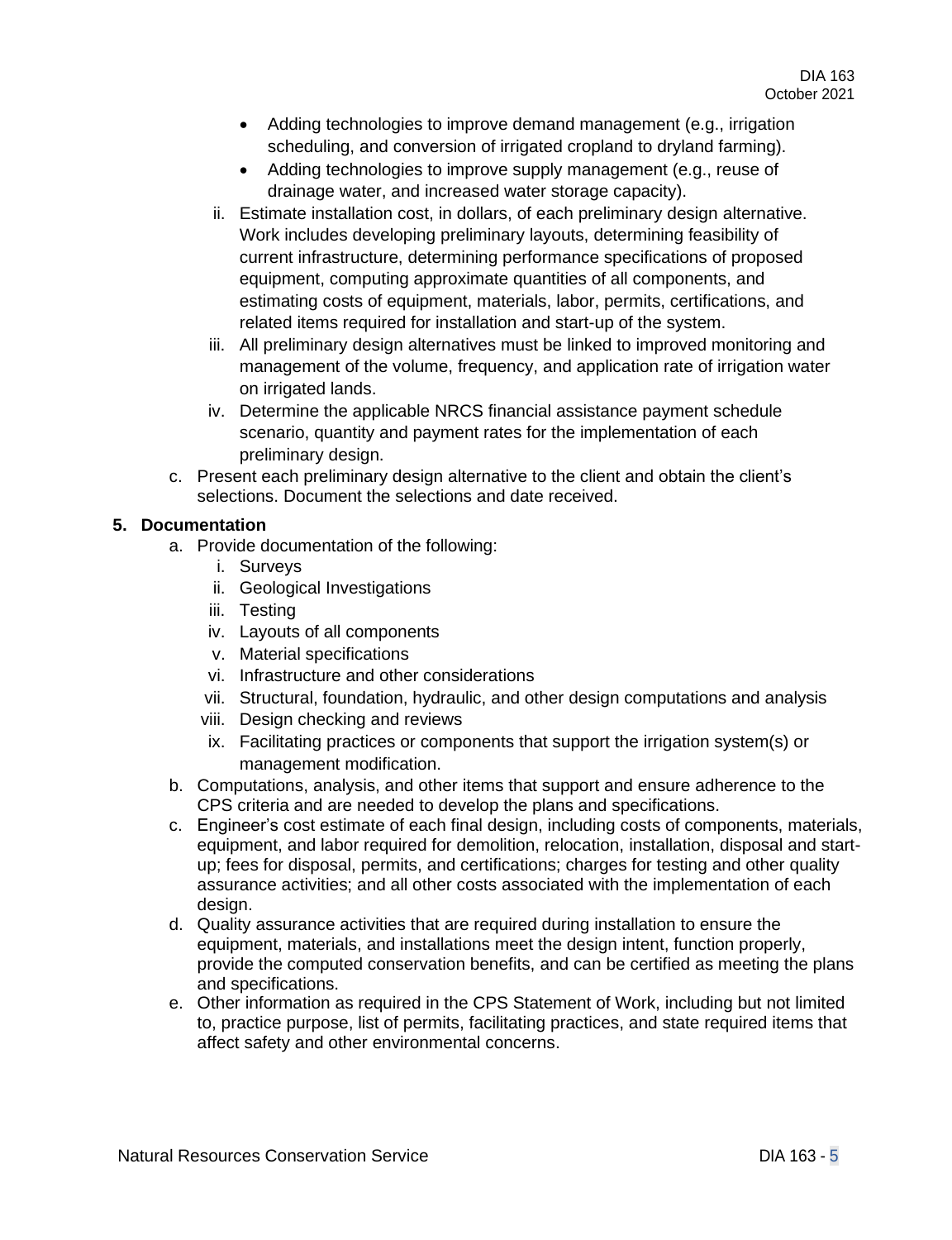- Adding technologies to improve demand management (e.g., irrigation scheduling, and conversion of irrigated cropland to dryland farming).
- Adding technologies to improve supply management (e.g., reuse of drainage water, and increased water storage capacity).
- ii. Estimate installation cost, in dollars, of each preliminary design alternative. Work includes developing preliminary layouts, determining feasibility of current infrastructure, determining performance specifications of proposed equipment, computing approximate quantities of all components, and estimating costs of equipment, materials, labor, permits, certifications, and related items required for installation and start-up of the system.
- iii. All preliminary design alternatives must be linked to improved monitoring and management of the volume, frequency, and application rate of irrigation water on irrigated lands.
- iv. Determine the applicable NRCS financial assistance payment schedule scenario, quantity and payment rates for the implementation of each preliminary design.
- c. Present each preliminary design alternative to the client and obtain the client's selections. Document the selections and date received.

# **5. Documentation**

- a. Provide documentation of the following:
	- i. Surveys
	- ii. Geological Investigations
	- iii. Testing
	- iv. Layouts of all components
	- v. Material specifications
	- vi. Infrastructure and other considerations
	- vii. Structural, foundation, hydraulic, and other design computations and analysis
	- viii. Design checking and reviews
	- ix. Facilitating practices or components that support the irrigation system(s) or management modification.
- b. Computations, analysis, and other items that support and ensure adherence to the CPS criteria and are needed to develop the plans and specifications.
- c. Engineer's cost estimate of each final design, including costs of components, materials, equipment, and labor required for demolition, relocation, installation, disposal and startup; fees for disposal, permits, and certifications; charges for testing and other quality assurance activities; and all other costs associated with the implementation of each design.
- d. Quality assurance activities that are required during installation to ensure the equipment, materials, and installations meet the design intent, function properly, provide the computed conservation benefits, and can be certified as meeting the plans and specifications.
- e. Other information as required in the CPS Statement of Work, including but not limited to, practice purpose, list of permits, facilitating practices, and state required items that affect safety and other environmental concerns.